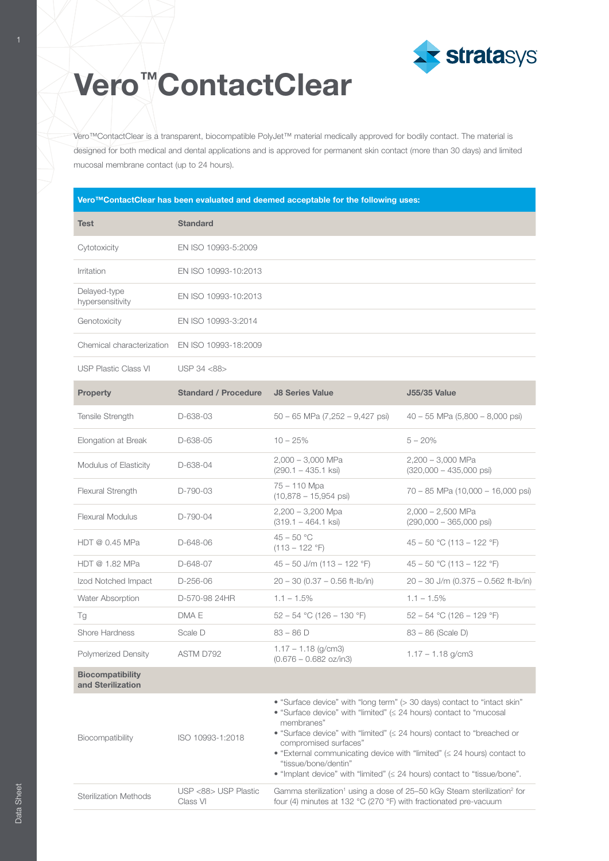

## Vero<sup>™</sup>ContactClear

Vero™ContactClear is a transparent, biocompatible PolyJet™ material medically approved for bodily contact. The material is designed for both medical and dental applications and is approved for permanent skin contact (more than 30 days) and limited mucosal membrane contact (up to 24 hours).

| Vero™ContactClear has been evaluated and deemed acceptable for the following uses: |                                  |                                                                                                                                                                                                                                                                                                                                                                                                                                                                  |                                                          |  |  |
|------------------------------------------------------------------------------------|----------------------------------|------------------------------------------------------------------------------------------------------------------------------------------------------------------------------------------------------------------------------------------------------------------------------------------------------------------------------------------------------------------------------------------------------------------------------------------------------------------|----------------------------------------------------------|--|--|
| <b>Test</b>                                                                        | <b>Standard</b>                  |                                                                                                                                                                                                                                                                                                                                                                                                                                                                  |                                                          |  |  |
| Cytotoxicity                                                                       | EN ISO 10993-5:2009              |                                                                                                                                                                                                                                                                                                                                                                                                                                                                  |                                                          |  |  |
| Irritation                                                                         | EN ISO 10993-10:2013             |                                                                                                                                                                                                                                                                                                                                                                                                                                                                  |                                                          |  |  |
| Delayed-type<br>hypersensitivity                                                   | EN ISO 10993-10:2013             |                                                                                                                                                                                                                                                                                                                                                                                                                                                                  |                                                          |  |  |
| Genotoxicity                                                                       | EN ISO 10993-3:2014              |                                                                                                                                                                                                                                                                                                                                                                                                                                                                  |                                                          |  |  |
| Chemical characterization                                                          | EN ISO 10993-18:2009             |                                                                                                                                                                                                                                                                                                                                                                                                                                                                  |                                                          |  |  |
| <b>USP Plastic Class VI</b>                                                        | USP 34 <88>                      |                                                                                                                                                                                                                                                                                                                                                                                                                                                                  |                                                          |  |  |
| <b>Property</b>                                                                    | <b>Standard / Procedure</b>      | <b>J8 Series Value</b>                                                                                                                                                                                                                                                                                                                                                                                                                                           | <b>J55/35 Value</b>                                      |  |  |
| Tensile Strength                                                                   | D-638-03                         | $50 - 65$ MPa $(7,252 - 9,427$ psi)                                                                                                                                                                                                                                                                                                                                                                                                                              | $40 - 55$ MPa $(5,800 - 8,000$ psi)                      |  |  |
| Elongation at Break                                                                | D-638-05                         | $10 - 25%$                                                                                                                                                                                                                                                                                                                                                                                                                                                       | $5 - 20%$                                                |  |  |
| Modulus of Elasticity                                                              | D-638-04                         | $2,000 - 3,000$ MPa<br>$(290.1 - 435.1$ ksi)                                                                                                                                                                                                                                                                                                                                                                                                                     | $2,200 - 3,000$ MPa<br>$(320,000 - 435,000 \text{ psi})$ |  |  |
| Flexural Strength                                                                  | D-790-03                         | 75 - 110 Mpa<br>$(10,878 - 15,954 \text{ psi})$                                                                                                                                                                                                                                                                                                                                                                                                                  | 70 – 85 MPa (10,000 – 16,000 psi)                        |  |  |
| <b>Flexural Modulus</b>                                                            | D-790-04                         | $2,200 - 3,200$ Mpa<br>$(319.1 - 464.1$ ksi                                                                                                                                                                                                                                                                                                                                                                                                                      | $2,000 - 2,500$ MPa<br>$(290,000 - 365,000 \text{ psi})$ |  |  |
| HDT @ 0.45 MPa                                                                     | D-648-06                         | $45 - 50 °C$<br>$(113 - 122 \degree F)$                                                                                                                                                                                                                                                                                                                                                                                                                          | $45 - 50$ °C (113 - 122 °F)                              |  |  |
| HDT @ 1.82 MPa                                                                     | D-648-07                         | $45 - 50$ J/m (113 – 122 °F)                                                                                                                                                                                                                                                                                                                                                                                                                                     | $45 - 50$ °C (113 - 122 °F)                              |  |  |
| Izod Notched Impact                                                                | D-256-06                         | $20 - 30 (0.37 - 0.56$ ft-lb/in)                                                                                                                                                                                                                                                                                                                                                                                                                                 | $20 - 30$ J/m (0.375 - 0.562 ft-lb/in)                   |  |  |
| Water Absorption                                                                   | D-570-98 24HR                    | $1.1 - 1.5\%$                                                                                                                                                                                                                                                                                                                                                                                                                                                    | $1.1 - 1.5\%$                                            |  |  |
| Τg                                                                                 | DMA E                            | $52 - 54$ °C (126 - 130 °F)                                                                                                                                                                                                                                                                                                                                                                                                                                      | $52 - 54$ °C (126 – 129 °F)                              |  |  |
| <b>Shore Hardness</b>                                                              | Scale D                          | $83 - 86$ D                                                                                                                                                                                                                                                                                                                                                                                                                                                      | 83 – 86 (Scale D)                                        |  |  |
| <b>Polymerized Density</b>                                                         | ASTM D792                        | $1.17 - 1.18$ (g/cm3)<br>$(0.676 - 0.682$ oz/in3)                                                                                                                                                                                                                                                                                                                                                                                                                | $1.17 - 1.18$ g/cm3                                      |  |  |
| <b>Biocompatibility</b><br>and Sterilization                                       |                                  |                                                                                                                                                                                                                                                                                                                                                                                                                                                                  |                                                          |  |  |
| Biocompatibility                                                                   | ISO 10993-1:2018                 | • "Surface device" with "long term" (> 30 days) contact to "intact skin"<br>• "Surface device" with "limited" (< 24 hours) contact to "mucosal<br>membranes"<br>• "Surface device" with "limited" ( $\leq$ 24 hours) contact to "breached or<br>compromised surfaces"<br>• "External communicating device with "limited" ( $\leq$ 24 hours) contact to<br>"tissue/bone/dentin"<br>• "Implant device" with "limited" $( \leq 24$ hours) contact to "tissue/bone". |                                                          |  |  |
| <b>Sterilization Methods</b>                                                       | USP <88> USP Plastic<br>Class VI | Gamma sterilization <sup>1</sup> using a dose of 25-50 kGy Steam sterilization <sup>2</sup> for<br>four (4) minutes at 132 °C (270 °F) with fractionated pre-vacuum                                                                                                                                                                                                                                                                                              |                                                          |  |  |